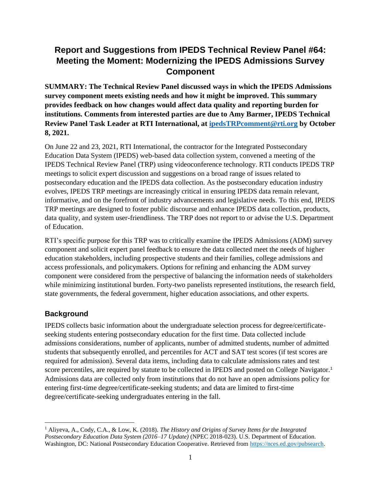# **Report and Suggestions from IPEDS Technical Review Panel #64: Meeting the Moment: Modernizing the IPEDS Admissions Survey Component**

**SUMMARY: The Technical Review Panel discussed ways in which the IPEDS Admissions survey component meets existing needs and how it might be improved. This summary provides feedback on how changes would affect data quality and reporting burden for institutions. Comments from interested parties are due to Amy Barmer, IPEDS Technical Review Panel Task Leader at RTI International, at [ipedsTRPcomment@rti.org](mailto:ipedsTRPcomment@rti.org) by October 8, 2021.**

On June 22 and 23, 2021, RTI International, the contractor for the Integrated Postsecondary Education Data System (IPEDS) web-based data collection system, convened a meeting of the IPEDS Technical Review Panel (TRP) using videoconference technology. RTI conducts IPEDS TRP meetings to solicit expert discussion and suggestions on a broad range of issues related to postsecondary education and the IPEDS data collection. As the postsecondary education industry evolves, IPEDS TRP meetings are increasingly critical in ensuring IPEDS data remain relevant, informative, and on the forefront of industry advancements and legislative needs. To this end, IPEDS TRP meetings are designed to foster public discourse and enhance IPEDS data collection, products, data quality, and system user-friendliness. The TRP does not report to or advise the U.S. Department of Education.

RTI's specific purpose for this TRP was to critically examine the IPEDS Admissions (ADM) survey component and solicit expert panel feedback to ensure the data collected meet the needs of higher education stakeholders, including prospective students and their families, college admissions and access professionals, and policymakers. Options for refining and enhancing the ADM survey component were considered from the perspective of balancing the information needs of stakeholders while minimizing institutional burden. Forty-two panelists represented institutions, the research field, state governments, the federal government, higher education associations, and other experts.

# **Background**

IPEDS collects basic information about the undergraduate selection process for degree/certificateseeking students entering postsecondary education for the first time. Data collected include admissions considerations, number of applicants, number of admitted students, number of admitted students that subsequently enrolled, and percentiles for ACT and SAT test scores (if test scores are required for admission). Several data items, including data to calculate admissions rates and test score percentiles, are required by statute to be collected in IPEDS and posted on College Navigator.<sup>1</sup> Admissions data are collected only from institutions that do not have an open admissions policy for entering first-time degree/certificate-seeking students; and data are limited to first-time degree/certificate-seeking undergraduates entering in the fall.

<sup>1</sup> Aliyeva, A., Cody, C.A., & Low, K. (2018). *The History and Origins of Survey Items for the Integrated Postsecondary Education Data System (2016–17 Update)* (NPEC 2018-023). U.S. Department of Education. Washington, DC: National Postsecondary Education Cooperative. Retrieved from [https://nces.ed.gov/pubsearch.](https://nces.ed.gov/pubsearch)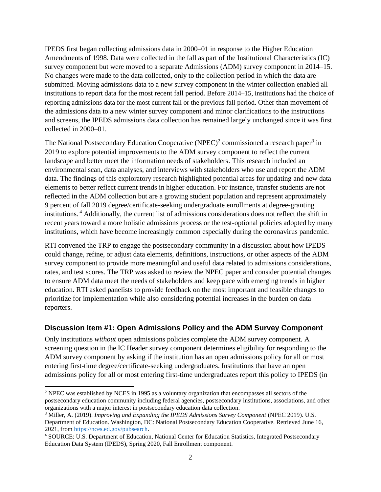IPEDS first began collecting admissions data in 2000–01 in response to the Higher Education Amendments of 1998. Data were collected in the fall as part of the Institutional Characteristics (IC) survey component but were moved to a separate Admissions (ADM) survey component in 2014–15. No changes were made to the data collected, only to the collection period in which the data are submitted. Moving admissions data to a new survey component in the winter collection enabled all institutions to report data for the most recent fall period. Before 2014–15, institutions had the choice of reporting admissions data for the most current fall or the previous fall period. Other than movement of the admissions data to a new winter survey component and minor clarifications to the instructions and screens, the IPEDS admissions data collection has remained largely unchanged since it was first collected in 2000–01.

The National Postsecondary Education Cooperative (NPEC)<sup>2</sup> commissioned a research paper<sup>3</sup> in 2019 to explore potential improvements to the ADM survey component to reflect the current landscape and better meet the information needs of stakeholders. This research included an environmental scan, data analyses, and interviews with stakeholders who use and report the ADM data. The findings of this exploratory research highlighted potential areas for updating and new data elements to better reflect current trends in higher education. For instance, transfer students are not reflected in the ADM collection but are a growing student population and represent approximately 9 percent of fall 2019 degree/certificate-seeking undergraduate enrollments at degree-granting institutions. <sup>4</sup> Additionally, the current list of admissions considerations does not reflect the shift in recent years toward a more holistic admissions process or the test-optional policies adopted by many institutions, which have become increasingly common especially during the coronavirus pandemic.

RTI convened the TRP to engage the postsecondary community in a discussion about how IPEDS could change, refine, or adjust data elements, definitions, instructions, or other aspects of the ADM survey component to provide more meaningful and useful data related to admissions considerations, rates, and test scores. The TRP was asked to review the NPEC paper and consider potential changes to ensure ADM data meet the needs of stakeholders and keep pace with emerging trends in higher education. RTI asked panelists to provide feedback on the most important and feasible changes to prioritize for implementation while also considering potential increases in the burden on data reporters.

#### **Discussion Item #1: Open Admissions Policy and the ADM Survey Component**

Only institutions *without* open admissions policies complete the ADM survey component. A screening question in the IC Header survey component determines eligibility for responding to the ADM survey component by asking if the institution has an open admissions policy for all or most entering first-time degree/certificate-seeking undergraduates. Institutions that have an open admissions policy for all or most entering first-time undergraduates report this policy to IPEDS (in

<sup>2</sup> NPEC was established by NCES in 1995 as a voluntary organization that encompasses all sectors of the postsecondary education community including federal agencies, postsecondary institutions, associations, and other organizations with a major interest in postsecondary education data collection.

<sup>3</sup> Miller, A. (2019). *Improving and Expanding the IPEDS Admissions Survey Component* (NPEC 2019). U.S. Department of Education. Washington, DC: National Postsecondary Education Cooperative. Retrieved June 16, 2021, from [https://nces.ed.gov/pubsearch.](https://nces.ed.gov/pubsearch)

<sup>4</sup> SOURCE: U.S. Department of Education, National Center for Education Statistics, Integrated Postsecondary Education Data System (IPEDS), Spring 2020, Fall Enrollment component.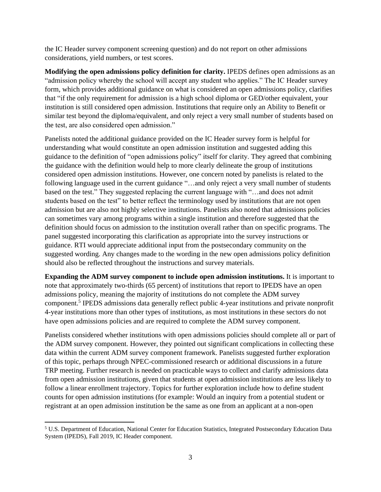the IC Header survey component screening question) and do not report on other admissions considerations, yield numbers, or test scores.

**Modifying the open admissions policy definition for clarity.** IPEDS defines open admissions as an "admission policy whereby the school will accept any student who applies." The IC Header survey form, which provides additional guidance on what is considered an open admissions policy, clarifies that "if the only requirement for admission is a high school diploma or GED/other equivalent, your institution is still considered open admission. Institutions that require only an Ability to Benefit or similar test beyond the diploma/equivalent, and only reject a very small number of students based on the test, are also considered open admission."

Panelists noted the additional guidance provided on the IC Header survey form is helpful for understanding what would constitute an open admission institution and suggested adding this guidance to the definition of "open admissions policy" itself for clarity. They agreed that combining the guidance with the definition would help to more clearly delineate the group of institutions considered open admission institutions. However, one concern noted by panelists is related to the following language used in the current guidance "…and only reject a very small number of students based on the test." They suggested replacing the current language with "…and does not admit students based on the test" to better reflect the terminology used by institutions that are not open admission but are also not highly selective institutions. Panelists also noted that admissions policies can sometimes vary among programs within a single institution and therefore suggested that the definition should focus on admission to the institution overall rather than on specific programs. The panel suggested incorporating this clarification as appropriate into the survey instructions or guidance. RTI would appreciate additional input from the postsecondary community on the suggested wording. Any changes made to the wording in the new open admissions policy definition should also be reflected throughout the instructions and survey materials.

**Expanding the ADM survey component to include open admission institutions.** It is important to note that approximately two-thirds (65 percent) of institutions that report to IPEDS have an open admissions policy, meaning the majority of institutions do not complete the ADM survey component. 5 IPEDS admissions data generally reflect public 4-year institutions and private nonprofit 4-year institutions more than other types of institutions, as most institutions in these sectors do not have open admissions policies and are required to complete the ADM survey component.

Panelists considered whether institutions with open admissions policies should complete all or part of the ADM survey component. However, they pointed out significant complications in collecting these data within the current ADM survey component framework. Panelists suggested further exploration of this topic, perhaps through NPEC-commissioned research or additional discussions in a future TRP meeting. Further research is needed on practicable ways to collect and clarify admissions data from open admission institutions, given that students at open admission institutions are less likely to follow a linear enrollment trajectory. Topics for further exploration include how to define student counts for open admission institutions (for example: Would an inquiry from a potential student or registrant at an open admission institution be the same as one from an applicant at a non-open

<sup>5</sup> U.S. Department of Education, National Center for Education Statistics, Integrated Postsecondary Education Data System (IPEDS), Fall 2019, IC Header component.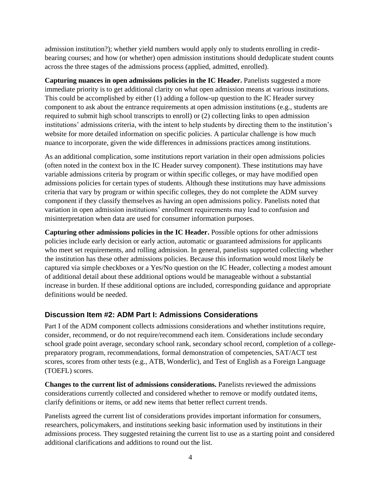admission institution?); whether yield numbers would apply only to students enrolling in creditbearing courses; and how (or whether) open admission institutions should deduplicate student counts across the three stages of the admissions process (applied, admitted, enrolled).

**Capturing nuances in open admissions policies in the IC Header.** Panelists suggested a more immediate priority is to get additional clarity on what open admission means at various institutions. This could be accomplished by either (1) adding a follow-up question to the IC Header survey component to ask about the entrance requirements at open admission institutions (e.g., students are required to submit high school transcripts to enroll) or (2) collecting links to open admission institutions' admissions criteria, with the intent to help students by directing them to the institution's website for more detailed information on specific policies. A particular challenge is how much nuance to incorporate, given the wide differences in admissions practices among institutions.

As an additional complication, some institutions report variation in their open admissions policies (often noted in the context box in the IC Header survey component). These institutions may have variable admissions criteria by program or within specific colleges, or may have modified open admissions policies for certain types of students. Although these institutions may have admissions criteria that vary by program or within specific colleges, they do not complete the ADM survey component if they classify themselves as having an open admissions policy. Panelists noted that variation in open admission institutions' enrollment requirements may lead to confusion and misinterpretation when data are used for consumer information purposes.

**Capturing other admissions policies in the IC Header.** Possible options for other admissions policies include early decision or early action, automatic or guaranteed admissions for applicants who meet set requirements, and rolling admission. In general, panelists supported collecting whether the institution has these other admissions policies. Because this information would most likely be captured via simple checkboxes or a Yes/No question on the IC Header, collecting a modest amount of additional detail about these additional options would be manageable without a substantial increase in burden. If these additional options are included, corresponding guidance and appropriate definitions would be needed.

#### **Discussion Item #2: ADM Part I: Admissions Considerations**

Part I of the ADM component collects admissions considerations and whether institutions require, consider, recommend, or do not require/recommend each item. Considerations include secondary school grade point average, secondary school rank, secondary school record, completion of a collegepreparatory program, recommendations, formal demonstration of competencies, SAT/ACT test scores, scores from other tests (e.g., ATB, Wonderlic), and Test of English as a Foreign Language (TOEFL) scores.

**Changes to the current list of admissions considerations.** Panelists reviewed the admissions considerations currently collected and considered whether to remove or modify outdated items, clarify definitions or items, or add new items that better reflect current trends.

Panelists agreed the current list of considerations provides important information for consumers, researchers, policymakers, and institutions seeking basic information used by institutions in their admissions process. They suggested retaining the current list to use as a starting point and considered additional clarifications and additions to round out the list.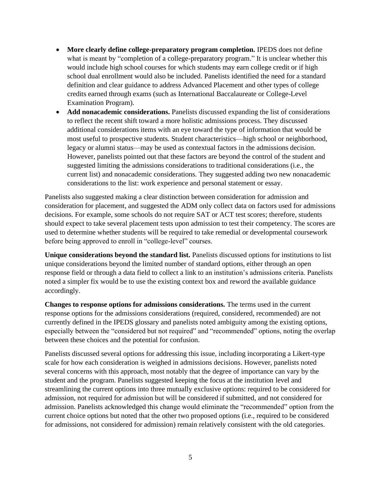- More clearly define college-preparatory program completion. IPEDS does not define what is meant by "completion of a college-preparatory program." It is unclear whether this would include high school courses for which students may earn college credit or if high school dual enrollment would also be included. Panelists identified the need for a standard definition and clear guidance to address Advanced Placement and other types of college credits earned through exams (such as International Baccalaureate or College-Level Examination Program).
- Add nonacademic considerations. Panelists discussed expanding the list of considerations to reflect the recent shift toward a more holistic admissions process. They discussed additional considerations items with an eye toward the type of information that would be most useful to prospective students. Student characteristics—high school or neighborhood, legacy or alumni status—may be used as contextual factors in the admissions decision. However, panelists pointed out that these factors are beyond the control of the student and suggested limiting the admissions considerations to traditional considerations (i.e., the current list) and nonacademic considerations. They suggested adding two new nonacademic considerations to the list: work experience and personal statement or essay.

Panelists also suggested making a clear distinction between consideration for admission and consideration for placement, and suggested the ADM only collect data on factors used for admissions decisions. For example, some schools do not require SAT or ACT test scores; therefore, students should expect to take several placement tests upon admission to test their competency. The scores are used to determine whether students will be required to take remedial or developmental coursework before being approved to enroll in "college-level" courses.

**Unique considerations beyond the standard list.** Panelists discussed options for institutions to list unique considerations beyond the limited number of standard options, either through an open response field or through a data field to collect a link to an institution's admissions criteria. Panelists noted a simpler fix would be to use the existing context box and reword the available guidance accordingly.

**Changes to response options for admissions considerations.** The terms used in the current response options for the admissions considerations (required, considered, recommended) are not currently defined in the IPEDS glossary and panelists noted ambiguity among the existing options, especially between the "considered but not required" and "recommended" options, noting the overlap between these choices and the potential for confusion.

Panelists discussed several options for addressing this issue, including incorporating a Likert-type scale for how each consideration is weighed in admissions decisions. However, panelists noted several concerns with this approach, most notably that the degree of importance can vary by the student and the program. Panelists suggested keeping the focus at the institution level and streamlining the current options into three mutually exclusive options: required to be considered for admission, not required for admission but will be considered if submitted, and not considered for admission. Panelists acknowledged this change would eliminate the "recommended" option from the current choice options but noted that the other two proposed options (i.e., required to be considered for admissions, not considered for admission) remain relatively consistent with the old categories.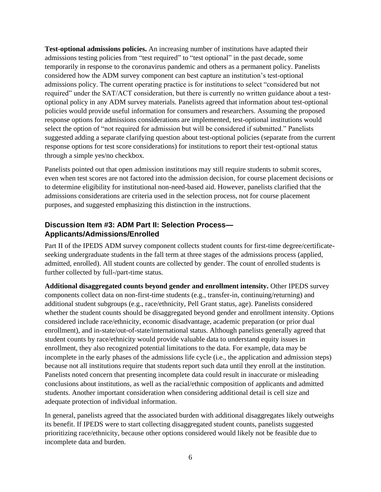**Test-optional admissions policies.** An increasing number of institutions have adapted their admissions testing policies from "test required" to "test optional" in the past decade, some temporarily in response to the coronavirus pandemic and others as a permanent policy. Panelists considered how the ADM survey component can best capture an institution's test-optional admissions policy. The current operating practice is for institutions to select "considered but not required" under the SAT/ACT consideration, but there is currently no written guidance about a testoptional policy in any ADM survey materials. Panelists agreed that information about test-optional policies would provide useful information for consumers and researchers. Assuming the proposed response options for admissions considerations are implemented, test-optional institutions would select the option of "not required for admission but will be considered if submitted." Panelists suggested adding a separate clarifying question about test-optional policies (separate from the current response options for test score considerations) for institutions to report their test-optional status through a simple yes/no checkbox.

Panelists pointed out that open admission institutions may still require students to submit scores, even when test scores are not factored into the admission decision, for course placement decisions or to determine eligibility for institutional non-need-based aid. However, panelists clarified that the admissions considerations are criteria used in the selection process, not for course placement purposes, and suggested emphasizing this distinction in the instructions.

# **Discussion Item #3: ADM Part II: Selection Process— Applicants/Admissions/Enrolled**

Part II of the IPEDS ADM survey component collects student counts for first-time degree/certificateseeking undergraduate students in the fall term at three stages of the admissions process (applied, admitted, enrolled). All student counts are collected by gender. The count of enrolled students is further collected by full-/part-time status.

**Additional disaggregated counts beyond gender and enrollment intensity.** Other IPEDS survey components collect data on non-first-time students (e.g., transfer-in, continuing/returning) and additional student subgroups (e.g., race/ethnicity, Pell Grant status, age). Panelists considered whether the student counts should be disaggregated beyond gender and enrollment intensity. Options considered include race/ethnicity, economic disadvantage, academic preparation (or prior dual enrollment), and in-state/out-of-state/international status. Although panelists generally agreed that student counts by race/ethnicity would provide valuable data to understand equity issues in enrollment, they also recognized potential limitations to the data. For example, data may be incomplete in the early phases of the admissions life cycle (i.e., the application and admission steps) because not all institutions require that students report such data until they enroll at the institution. Panelists noted concern that presenting incomplete data could result in inaccurate or misleading conclusions about institutions, as well as the racial/ethnic composition of applicants and admitted students. Another important consideration when considering additional detail is cell size and adequate protection of individual information.

In general, panelists agreed that the associated burden with additional disaggregates likely outweighs its benefit. If IPEDS were to start collecting disaggregated student counts, panelists suggested prioritizing race/ethnicity, because other options considered would likely not be feasible due to incomplete data and burden.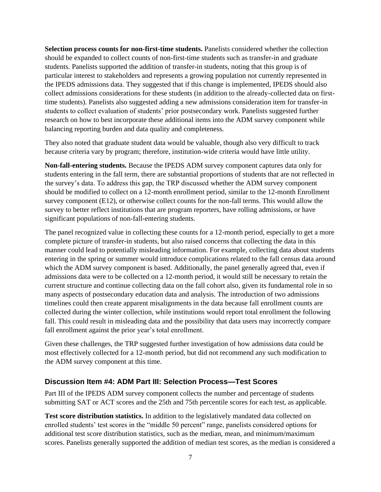**Selection process counts for non-first-time students.** Panelists considered whether the collection should be expanded to collect counts of non-first-time students such as transfer-in and graduate students. Panelists supported the addition of transfer-in students, noting that this group is of particular interest to stakeholders and represents a growing population not currently represented in the IPEDS admissions data. They suggested that if this change is implemented, IPEDS should also collect admissions considerations for these students (in addition to the already-collected data on firsttime students). Panelists also suggested adding a new admissions consideration item for transfer-in students to collect evaluation of students' prior postsecondary work. Panelists suggested further research on how to best incorporate these additional items into the ADM survey component while balancing reporting burden and data quality and completeness.

They also noted that graduate student data would be valuable, though also very difficult to track because criteria vary by program; therefore, institution-wide criteria would have little utility.

**Non-fall-entering students.** Because the IPEDS ADM survey component captures data only for students entering in the fall term, there are substantial proportions of students that are not reflected in the survey's data. To address this gap, the TRP discussed whether the ADM survey component should be modified to collect on a 12-month enrollment period, similar to the 12-month Enrollment survey component (E12), or otherwise collect counts for the non-fall terms. This would allow the survey to better reflect institutions that are program reporters, have rolling admissions, or have significant populations of non-fall-entering students.

The panel recognized value in collecting these counts for a 12-month period, especially to get a more complete picture of transfer-in students, but also raised concerns that collecting the data in this manner could lead to potentially misleading information. For example, collecting data about students entering in the spring or summer would introduce complications related to the fall census data around which the ADM survey component is based. Additionally, the panel generally agreed that, even if admissions data were to be collected on a 12-month period, it would still be necessary to retain the current structure and continue collecting data on the fall cohort also, given its fundamental role in so many aspects of postsecondary education data and analysis. The introduction of two admissions timelines could then create apparent misalignments in the data because fall enrollment counts are collected during the winter collection, while institutions would report total enrollment the following fall. This could result in misleading data and the possibility that data users may incorrectly compare fall enrollment against the prior year's total enrollment.

Given these challenges, the TRP suggested further investigation of how admissions data could be most effectively collected for a 12-month period, but did not recommend any such modification to the ADM survey component at this time.

#### **Discussion Item #4: ADM Part III: Selection Process—Test Scores**

Part III of the IPEDS ADM survey component collects the number and percentage of students submitting SAT or ACT scores and the 25th and 75th percentile scores for each test, as applicable.

**Test score distribution statistics.** In addition to the legislatively mandated data collected on enrolled students' test scores in the "middle 50 percent" range, panelists considered options for additional test score distribution statistics, such as the median, mean, and minimum/maximum scores. Panelists generally supported the addition of median test scores, as the median is considered a